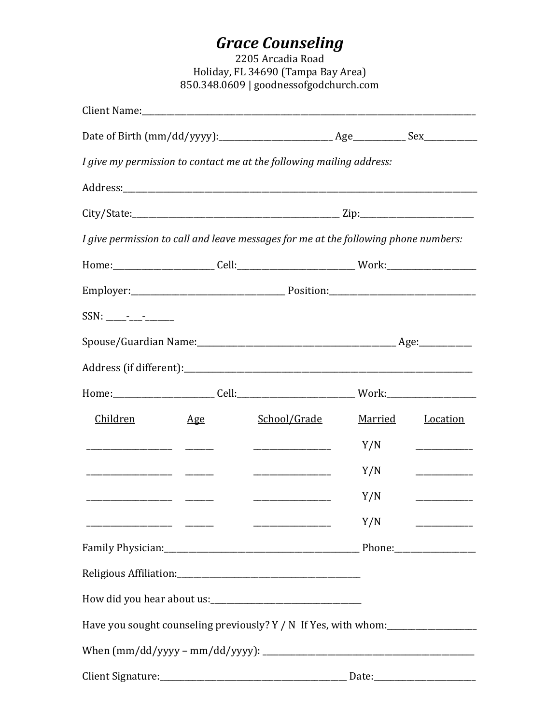# **Grace Counseling**<br>2205 Arcadia Road

Holiday, FL 34690 (Tampa Bay Area) 850.348.0609 | goodnessofgodchurch.com

| I give my permission to contact me at the following mailing address:                |     |              |                |                  |
|-------------------------------------------------------------------------------------|-----|--------------|----------------|------------------|
|                                                                                     |     |              |                |                  |
|                                                                                     |     |              |                |                  |
| I give permission to call and leave messages for me at the following phone numbers: |     |              |                |                  |
|                                                                                     |     |              |                |                  |
|                                                                                     |     |              |                |                  |
|                                                                                     |     |              |                |                  |
|                                                                                     |     |              |                |                  |
|                                                                                     |     |              |                |                  |
|                                                                                     |     |              |                |                  |
| Children                                                                            | Age | School/Grade | <u>Married</u> | Location         |
|                                                                                     |     |              | Y/N            | ________________ |
|                                                                                     |     |              | Y/N            |                  |
|                                                                                     |     |              | Y/N            |                  |
|                                                                                     |     |              | Y/N            |                  |
|                                                                                     |     |              |                |                  |
|                                                                                     |     |              |                |                  |
|                                                                                     |     |              |                |                  |
| Have you sought counseling previously? Y / N If Yes, with whom:                     |     |              |                |                  |
|                                                                                     |     |              |                |                  |
|                                                                                     |     |              |                |                  |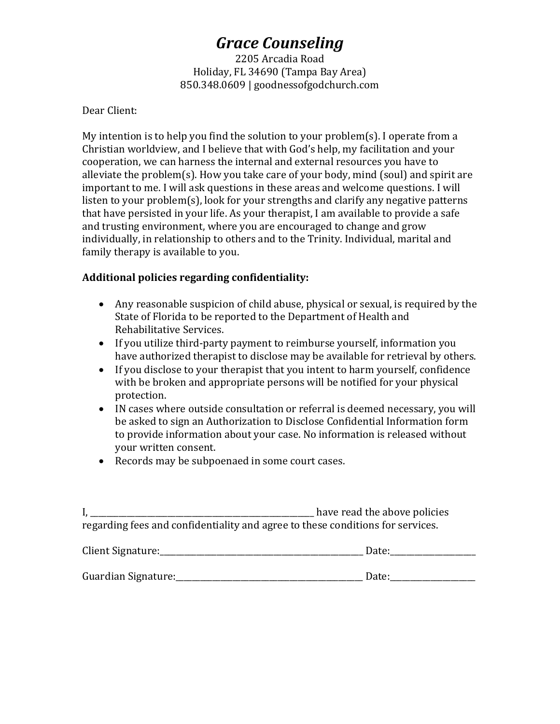2205 Arcadia Road Holiday, FL 34690 (Tampa Bay Area) 850.348.0609 | goodnessofgodchurch.com

Dear Client:

My intention is to help you find the solution to your problem(s). I operate from a Christian worldview, and I believe that with God's help, my facilitation and your cooperation, we can harness the internal and external resources you have to alleviate the problem(s). How you take care of your body, mind (soul) and spirit are important to me. I will ask questions in these areas and welcome questions. I will listen to your problem(s), look for your strengths and clarify any negative patterns that have persisted in your life. As your therapist, I am available to provide a safe and trusting environment, where you are encouraged to change and grow individually, in relationship to others and to the Trinity. Individual, marital and family therapy is available to you.

## **Additional policies regarding confidentiality:**

- Any reasonable suspicion of child abuse, physical or sexual, is required by the State of Florida to be reported to the Department of Health and Rehabilitative Services.
- If you utilize third-party payment to reimburse yourself, information you have authorized therapist to disclose may be available for retrieval by others.
- If you disclose to your therapist that you intent to harm yourself, confidence with be broken and appropriate persons will be notified for your physical protection.
- IN cases where outside consultation or referral is deemed necessary, you will be asked to sign an Authorization to Disclose Confidential Information form to provide information about your case. No information is released without your written consent.
- Records may be subpoenaed in some court cases.

|                                                                                | have read the above policies |
|--------------------------------------------------------------------------------|------------------------------|
| regarding fees and confidentiality and agree to these conditions for services. |                              |

| Client Signature:   | Date: |
|---------------------|-------|
|                     |       |
| Guardian Signature: | Date: |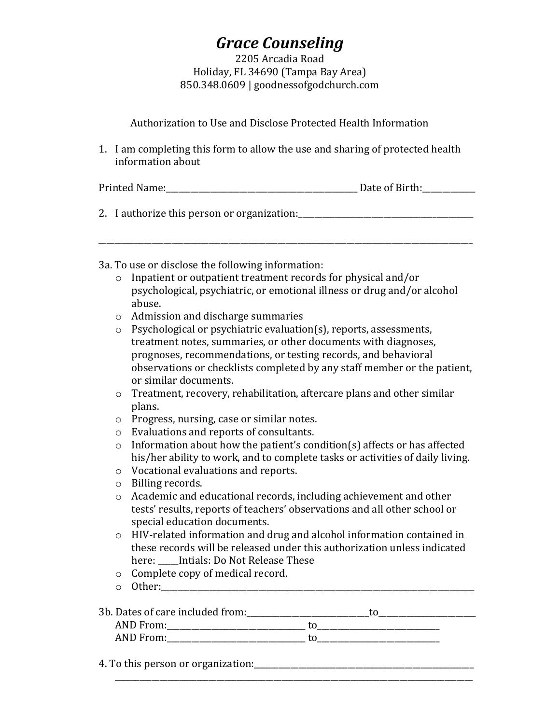2205 Arcadia Road Holiday, FL 34690 (Tampa Bay Area) 850.348.0609 | goodnessofgodchurch.com

|                                                                                                    | Authorization to Use and Disclose Protected Health Information                                                                                                                                                                                                                                                                                                                                                                                                                                                                                             |  |  |  |  |
|----------------------------------------------------------------------------------------------------|------------------------------------------------------------------------------------------------------------------------------------------------------------------------------------------------------------------------------------------------------------------------------------------------------------------------------------------------------------------------------------------------------------------------------------------------------------------------------------------------------------------------------------------------------------|--|--|--|--|
| 1. I am completing this form to allow the use and sharing of protected health<br>information about |                                                                                                                                                                                                                                                                                                                                                                                                                                                                                                                                                            |  |  |  |  |
|                                                                                                    | Date of Birth:<br>Printed Name:                                                                                                                                                                                                                                                                                                                                                                                                                                                                                                                            |  |  |  |  |
| 2. I authorize this person or organization:                                                        |                                                                                                                                                                                                                                                                                                                                                                                                                                                                                                                                                            |  |  |  |  |
| $\circ$<br>$\circ$<br>$\circ$                                                                      | 3a. To use or disclose the following information:<br>Inpatient or outpatient treatment records for physical and/or<br>psychological, psychiatric, or emotional illness or drug and/or alcohol<br>abuse.<br>Admission and discharge summaries<br>Psychological or psychiatric evaluation(s), reports, assessments,<br>treatment notes, summaries, or other documents with diagnoses,<br>prognoses, recommendations, or testing records, and behavioral<br>observations or checklists completed by any staff member or the patient,<br>or similar documents. |  |  |  |  |

- o Treatment, recovery, rehabilitation, aftercare plans and other similar plans.
- o Progress, nursing, case or similar notes.
- o Evaluations and reports of consultants.
- o Information about how the patient's condition(s) affects or has affected his/her ability to work, and to complete tasks or activities of daily living.
- o Vocational evaluations and reports.
- o Billing records.
- o Academic and educational records, including achievement and other tests' results, reports of teachers' observations and all other school or special education documents.
- o HIV-related information and drug and alcohol information contained in these records will be released under this authorization unless indicated here: Intials: Do Not Release These
- o Complete copy of medical record.
- o Other:\_\_\_\_\_\_\_\_\_\_\_\_\_\_\_\_\_\_\_\_\_\_\_\_\_\_\_\_\_\_\_\_\_\_\_\_\_\_\_\_\_\_\_\_\_\_\_\_\_\_\_\_\_\_\_\_\_\_\_\_\_\_\_\_\_\_\_\_\_\_\_\_\_\_\_\_\_

| 3b. Dates of care included from: |  |
|----------------------------------|--|
| AND From:                        |  |
| AND From:                        |  |

\_\_\_\_\_\_\_\_\_\_\_\_\_\_\_\_\_\_\_\_\_\_\_\_\_\_\_\_\_\_\_\_\_\_\_\_\_\_\_\_\_\_\_\_\_\_\_\_\_\_\_\_\_\_\_\_\_\_\_\_\_\_\_\_\_\_\_\_\_\_\_\_\_\_\_\_\_\_\_\_\_\_\_\_\_\_\_\_

4. To this person or organization:\_\_\_\_\_\_\_\_\_\_\_\_\_\_\_\_\_\_\_\_\_\_\_\_\_\_\_\_\_\_\_\_\_\_\_\_\_\_\_\_\_\_\_\_\_\_\_\_\_\_\_\_\_\_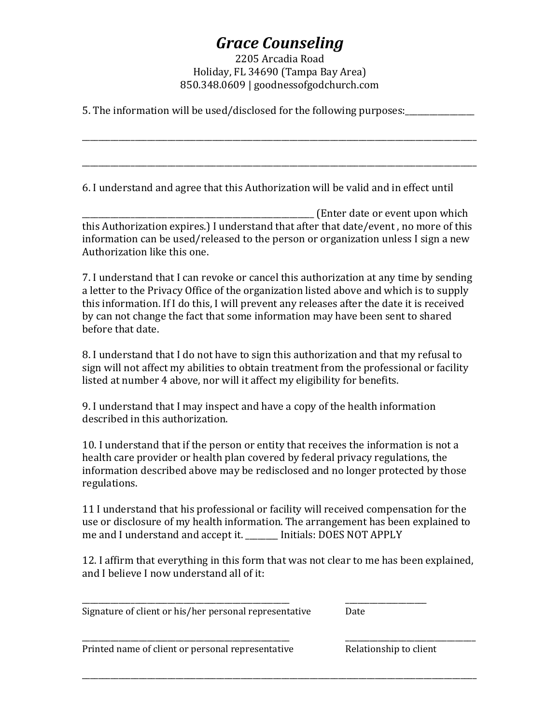### 2205 Arcadia Road Holiday, FL 34690 (Tampa Bay Area) 850.348.0609 | goodnessofgodchurch.com

\_\_\_\_\_\_\_\_\_\_\_\_\_\_\_\_\_\_\_\_\_\_\_\_\_\_\_\_\_\_\_\_\_\_\_\_\_\_\_\_\_\_\_\_\_\_\_\_\_\_\_\_\_\_\_\_\_\_\_\_\_\_\_\_\_\_\_\_\_\_\_\_\_\_\_\_\_\_\_\_\_\_\_\_\_\_\_\_\_\_\_\_\_\_\_\_\_

\_\_\_\_\_\_\_\_\_\_\_\_\_\_\_\_\_\_\_\_\_\_\_\_\_\_\_\_\_\_\_\_\_\_\_\_\_\_\_\_\_\_\_\_\_\_\_\_\_\_\_\_\_\_\_\_\_\_\_\_\_\_\_\_\_\_\_\_\_\_\_\_\_\_\_\_\_\_\_\_\_\_\_\_\_\_\_\_\_\_\_\_\_\_\_\_\_

5. The information will be used/disclosed for the following purposes:\_\_\_\_\_\_\_\_\_\_\_\_\_\_\_\_\_

6. I understand and agree that this Authorization will be valid and in effect until

\_\_\_\_\_\_\_\_\_\_\_\_\_\_\_\_\_\_\_\_\_\_\_\_\_\_\_\_\_\_\_\_\_\_\_\_\_\_\_\_\_\_\_\_\_\_\_\_\_\_\_\_\_\_\_\_\_ (Enter date or event upon which this Authorization expires.) I understand that after that date/event , no more of this information can be used/released to the person or organization unless I sign a new Authorization like this one.

7. I understand that I can revoke or cancel this authorization at any time by sending a letter to the Privacy Office of the organization listed above and which is to supply this information. If I do this, I will prevent any releases after the date it is received by can not change the fact that some information may have been sent to shared before that date.

8. I understand that I do not have to sign this authorization and that my refusal to sign will not affect my abilities to obtain treatment from the professional or facility listed at number 4 above, nor will it affect my eligibility for benefits.

9. I understand that I may inspect and have a copy of the health information described in this authorization.

10. I understand that if the person or entity that receives the information is not a health care provider or health plan covered by federal privacy regulations, the information described above may be redisclosed and no longer protected by those regulations.

11 I understand that his professional or facility will received compensation for the use or disclosure of my health information. The arrangement has been explained to me and I understand and accept it. \_\_\_\_\_\_\_\_ Initials: DOES NOT APPLY

12. I affirm that everything in this form that was not clear to me has been explained, and I believe I now understand all of it:

\_\_\_\_\_\_\_\_\_\_\_\_\_\_\_\_\_\_\_\_\_\_\_\_\_\_\_\_\_\_\_\_\_\_\_\_\_\_\_\_\_\_\_\_\_\_\_\_\_\_\_\_\_\_\_\_\_\_\_\_\_\_\_\_\_\_\_\_\_\_\_\_\_\_\_\_\_\_\_\_\_\_\_\_\_\_\_\_\_\_\_\_\_\_\_\_\_

\_\_\_\_\_\_\_\_\_\_\_\_\_\_\_\_\_\_\_\_\_\_\_\_\_\_\_\_\_\_\_\_\_\_\_\_\_\_\_\_\_\_\_\_\_\_\_\_\_\_\_ \_\_\_\_\_\_\_\_\_\_\_\_\_\_\_\_\_\_\_\_ Signature of client or his/her personal representative Date

\_\_\_\_\_\_\_\_\_\_\_\_\_\_\_\_\_\_\_\_\_\_\_\_\_\_\_\_\_\_\_\_\_\_\_\_\_\_\_\_\_\_\_\_\_\_\_\_\_\_\_ \_\_\_\_\_\_\_\_\_\_\_\_\_\_\_\_\_\_\_\_\_\_\_\_\_\_\_\_\_\_\_\_ Printed name of client or personal representative Frinted Relationship to client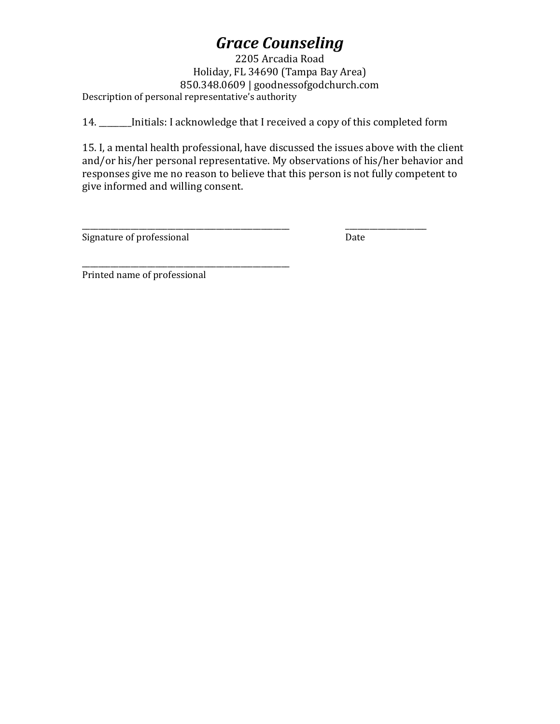2205 Arcadia Road Holiday, FL 34690 (Tampa Bay Area) 850.348.0609 | goodnessofgodchurch.com Description of personal representative's authority

14. \_\_\_\_\_\_\_\_Initials: I acknowledge that I received a copy of this completed form

15. I, a mental health professional, have discussed the issues above with the client and/or his/her personal representative. My observations of his/her behavior and responses give me no reason to believe that this person is not fully competent to give informed and willing consent.

\_\_\_\_\_\_\_\_\_\_\_\_\_\_\_\_\_\_\_\_\_\_\_\_\_\_\_\_\_\_\_\_\_\_\_\_\_\_\_\_\_\_\_\_\_\_\_\_\_\_\_ \_\_\_\_\_\_\_\_\_\_\_\_\_\_\_\_\_\_\_\_ Signature of professional and Date Date

\_\_\_\_\_\_\_\_\_\_\_\_\_\_\_\_\_\_\_\_\_\_\_\_\_\_\_\_\_\_\_\_\_\_\_\_\_\_\_\_\_\_\_\_\_\_\_\_\_\_\_ Printed name of professional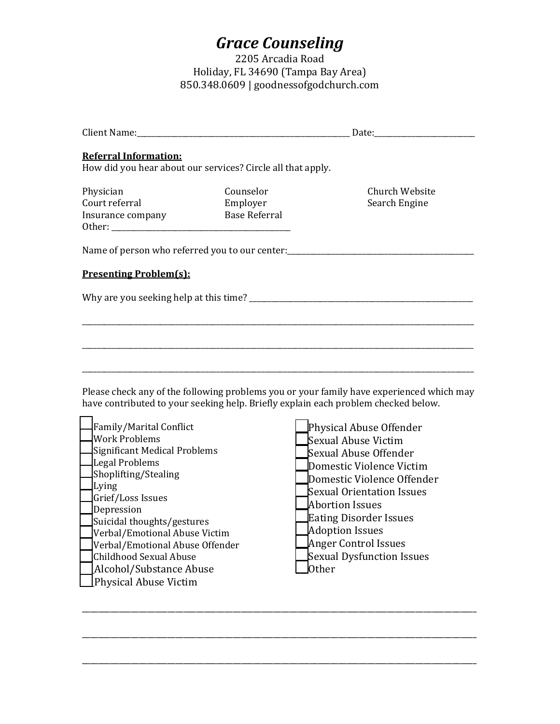2205 Arcadia Road Holiday, FL 34690 (Tampa Bay Area) 850.348.0609 | goodnessofgodchurch.com

| Church Website<br>Search Engine                                                  |  |
|----------------------------------------------------------------------------------|--|
| Name of person who referred you to our center:__________________________________ |  |
|                                                                                  |  |
|                                                                                  |  |
|                                                                                  |  |
|                                                                                  |  |
|                                                                                  |  |

Please check any of the following problems you or your family have experienced which may have contributed to your seeking help. Briefly explain each problem checked below.

\_\_\_\_\_\_\_\_\_\_\_\_\_\_\_\_\_\_\_\_\_\_\_\_\_\_\_\_\_\_\_\_\_\_\_\_\_\_\_\_\_\_\_\_\_\_\_\_\_\_\_\_\_\_\_\_\_\_\_\_\_\_\_\_\_\_\_\_\_\_\_\_\_\_\_\_\_\_\_\_\_\_\_\_\_\_\_\_\_\_\_\_\_\_\_\_\_

\_\_\_\_\_\_\_\_\_\_\_\_\_\_\_\_\_\_\_\_\_\_\_\_\_\_\_\_\_\_\_\_\_\_\_\_\_\_\_\_\_\_\_\_\_\_\_\_\_\_\_\_\_\_\_\_\_\_\_\_\_\_\_\_\_\_\_\_\_\_\_\_\_\_\_\_\_\_\_\_\_\_\_\_\_\_\_\_\_\_\_\_\_\_\_\_\_

| Family/Marital Conflict         | Physical Abuse Offender       |
|---------------------------------|-------------------------------|
| <b>Work Problems</b>            | Sexual Abuse Victim           |
| Significant Medical Problems    | Sexual Abuse Offender         |
| Legal Problems                  | Domestic Violence Victim      |
| Shoplifting/Stealing            | Domestic Violence Offender    |
| Lying                           | Sexual Orientation Issues     |
| Grief/Loss Issues               | Abortion Issues               |
| Depression                      |                               |
| Suicidal thoughts/gestures      | <b>Eating Disorder Issues</b> |
| Verbal/Emotional Abuse Victim   | <b>Adoption Issues</b>        |
| Verbal/Emotional Abuse Offender | Anger Control Issues          |
| Childhood Sexual Abuse          | Sexual Dysfunction Issues     |
| Alcohol/Substance Abuse         | 0ther                         |
| <b>Physical Abuse Victim</b>    |                               |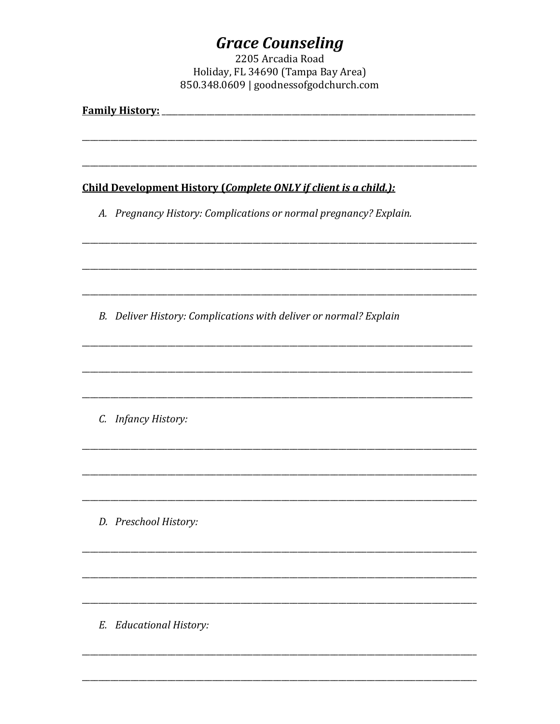# **Grace Counseling**<br>2205 Arcadia Road

Holiday, FL 34690 (Tampa Bay Area) 850.348.0609 | goodnessofgodchurch.com

| <b>Family History:</b> |                                                                   |  |  |
|------------------------|-------------------------------------------------------------------|--|--|
|                        |                                                                   |  |  |
|                        | Child Development History (Complete ONLY if client is a child.):  |  |  |
|                        | A. Pregnancy History: Complications or normal pregnancy? Explain. |  |  |
|                        |                                                                   |  |  |
|                        | B. Deliver History: Complications with deliver or normal? Explain |  |  |
|                        |                                                                   |  |  |
|                        | C. Infancy History:                                               |  |  |
|                        |                                                                   |  |  |
|                        | D. Preschool History:                                             |  |  |
|                        |                                                                   |  |  |
| Е.                     | <b>Educational History:</b>                                       |  |  |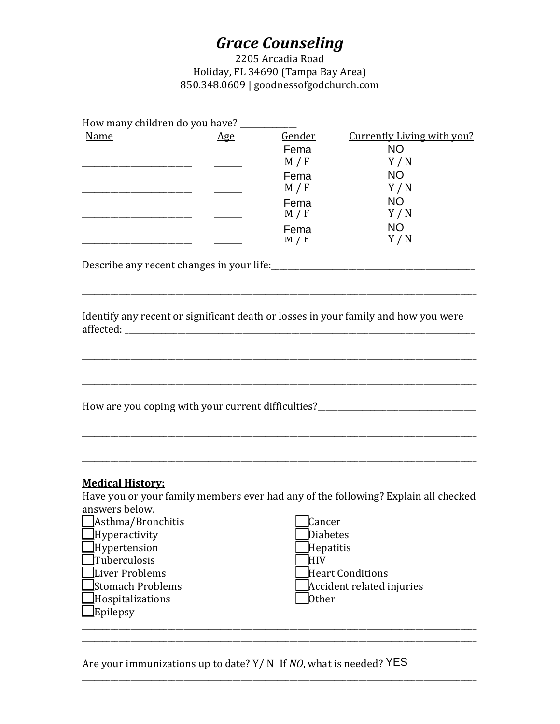2205 Arcadia Road Holiday, FL 34690 (Tampa Bay Area) 850.348.0609 | goodnessofgodchurch.com

| How many children do you have?                                                                                                                                                                                     |     |                                                                          |                                                                                                                                            |
|--------------------------------------------------------------------------------------------------------------------------------------------------------------------------------------------------------------------|-----|--------------------------------------------------------------------------|--------------------------------------------------------------------------------------------------------------------------------------------|
| Name<br><u> 1986 - Jan Barbarat, manazarta a</u>                                                                                                                                                                   | Age | Gender<br>Fema<br>M / F<br>Fema<br>M/F<br>Fema<br>M / F<br>Fema<br>M / F | <b>Currently Living with you?</b><br><b>NO</b><br>Y/N<br><b>NO</b><br>Y/N<br><b>NO</b><br>Y/N<br><b>NO</b><br>Y/N                          |
| Describe any recent changes in your life:<br><u>Describe any recent changes in your life:</u>                                                                                                                      |     |                                                                          |                                                                                                                                            |
|                                                                                                                                                                                                                    |     |                                                                          | Identify any recent or significant death or losses in your family and how you were                                                         |
|                                                                                                                                                                                                                    |     |                                                                          | How are you coping with your current difficulties?______________________________                                                           |
| <b>Medical History:</b><br>answers below.<br>$\Delta$ sthma/Bronchitis<br>$\Box$ Hyperactivity<br>Hypertension<br>]Tuberculosis<br>$\perp$ Liver Problems<br>lStomach Problems<br>Hospitalizations<br>$l$ Epilepsy |     | Cancer<br>Diabetes<br>Hepatitis<br><b>HIV</b><br>Other                   | Have you or your family members ever had any of the following? Explain all checked<br><b>Heart Conditions</b><br>Accident related injuries |
| Are your immunizations up to date? $Y/N$ If NO, what is needed? YES                                                                                                                                                |     |                                                                          |                                                                                                                                            |

Are your immunizations up to date? Y/ N If *NO*, what is needed? YES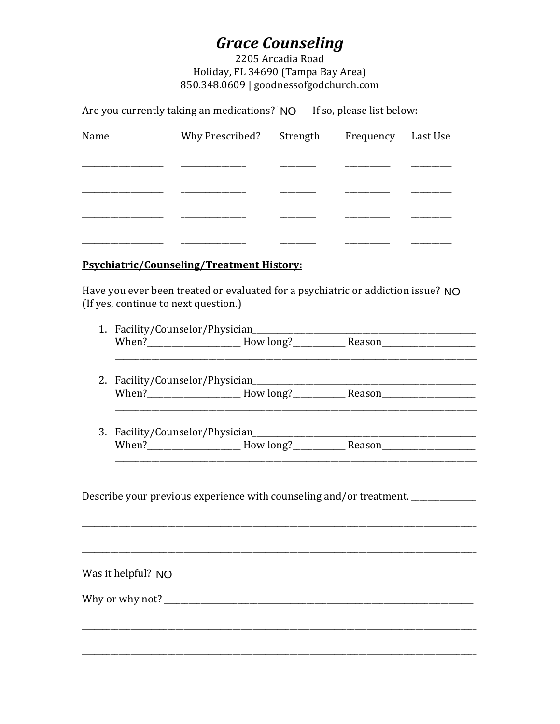2205 Arcadia Road Holiday, FL 34690 (Tampa Bay Area) 850.348.0609 | goodnessofgodchurch.com

Are you currently taking an medications? NO If so, please list below:

| Name | Why Prescribed? Strength | Frequency Last Use |  |
|------|--------------------------|--------------------|--|
|      |                          |                    |  |
|      |                          |                    |  |
|      |                          |                    |  |
|      |                          |                    |  |

#### **Psychiatric/Counseling/Treatment History:**

Have you ever been treated or evaluated for a psychiatric or addiction issue? NO (If yes, continue to next question.)

| 1. Facility/Counselor/Physician |           |        |  |
|---------------------------------|-----------|--------|--|
| When?                           | How long? | Reason |  |
|                                 |           |        |  |

- 2. Facility/Counselor/Physician <u> 1980 - Jan Barat, martin a</u>
- 

Describe your previous experience with counseling and/or treatment. \_\_\_\_\_\_\_\_\_\_\_\_

Was it helpful? NO

Why or why not?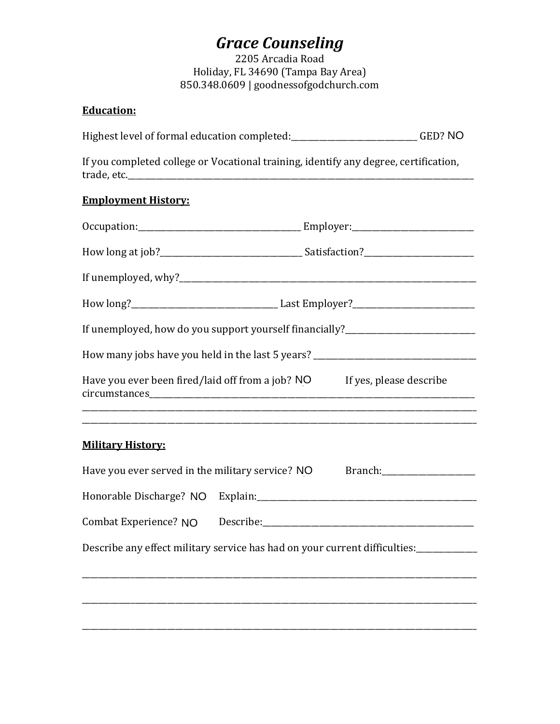2205 Arcadia Road Holiday, FL 34690 (Tampa Bay Area) 850.348.0609 | goodnessofgodchurch.com

## **Education:**

Highest level of formal education completed:\_\_\_\_\_\_\_\_\_\_\_\_\_\_\_\_\_\_\_\_\_\_\_\_\_\_\_\_\_\_\_GED? NO

If you completed college or Vocational training, identify any degree, certification, trade, etc.\_\_\_\_\_\_\_\_\_\_\_\_\_\_\_\_\_\_\_\_\_\_\_\_\_\_\_\_\_\_\_\_\_\_\_\_\_\_\_\_\_\_\_\_\_\_\_\_\_\_\_\_\_\_\_\_\_\_\_\_\_\_\_\_\_\_\_\_\_\_\_\_\_\_\_\_\_\_\_\_\_\_\_\_\_

## **Employment History:**

| If unemployed, how do you support yourself financially?_________________________  |  |
|-----------------------------------------------------------------------------------|--|
| How many jobs have you held in the last 5 years? ________________________________ |  |
| Have you ever been fired/laid off from a job? NO If yes, please describe          |  |
|                                                                                   |  |
| <b>Military History:</b>                                                          |  |
| Have you ever served in the military service? NO                                  |  |

| Have you ever served in the military service? NO                           |           | Branch: |
|----------------------------------------------------------------------------|-----------|---------|
| Honorable Discharge? NO                                                    | Explain:  |         |
| Combat Experience? NO                                                      | Describe: |         |
| Describe any effect military service has had on your current difficulties: |           |         |
|                                                                            |           |         |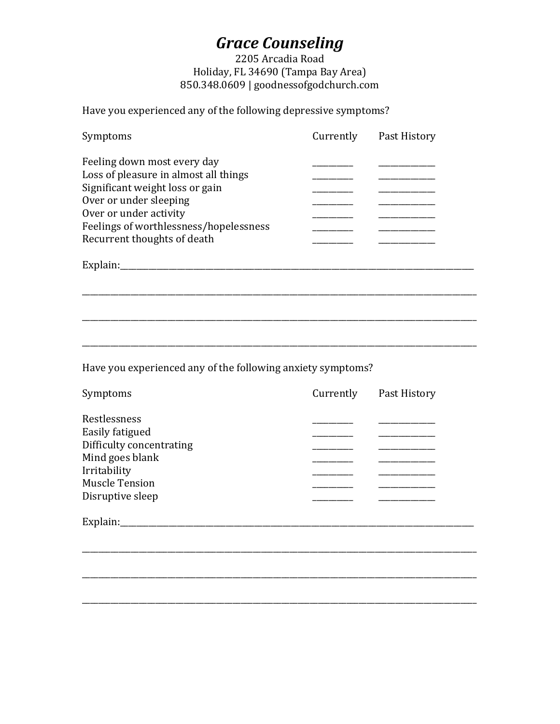## 2205 Arcadia Road Holiday, FL 34690 (Tampa Bay Area) 850.348.0609 | goodnessofgodchurch.com

Have you experienced any of the following depressive symptoms?

| Symptoms                               | Currently | Past History |
|----------------------------------------|-----------|--------------|
| Feeling down most every day            |           |              |
| Loss of pleasure in almost all things  |           |              |
| Significant weight loss or gain        |           |              |
| Over or under sleeping                 |           |              |
| Over or under activity                 |           |              |
| Feelings of worthlessness/hopelessness |           |              |
| Recurrent thoughts of death            |           |              |
|                                        |           |              |

\_\_\_\_\_\_\_\_\_\_\_\_\_\_\_\_\_\_\_\_\_\_\_\_\_\_\_\_\_\_\_\_\_\_\_\_\_\_\_\_\_\_\_\_\_\_\_\_\_\_\_\_\_\_\_\_\_\_\_\_\_\_\_\_\_\_\_\_\_\_\_\_\_\_\_\_\_\_\_\_\_\_\_\_\_\_\_\_\_\_\_\_\_\_\_\_\_

\_\_\_\_\_\_\_\_\_\_\_\_\_\_\_\_\_\_\_\_\_\_\_\_\_\_\_\_\_\_\_\_\_\_\_\_\_\_\_\_\_\_\_\_\_\_\_\_\_\_\_\_\_\_\_\_\_\_\_\_\_\_\_\_\_\_\_\_\_\_\_\_\_\_\_\_\_\_\_\_\_\_\_\_\_\_\_\_\_\_\_\_\_\_\_\_\_

Explain:\_\_\_\_\_\_\_\_\_\_\_\_\_\_\_\_\_\_\_\_\_\_\_\_\_\_\_\_\_\_\_\_\_\_\_\_\_\_\_\_\_\_\_\_\_\_\_\_\_\_\_\_\_\_\_\_\_\_\_\_\_\_\_\_\_\_\_\_\_\_\_\_\_\_\_\_\_\_\_\_\_\_\_\_\_\_\_

Have you experienced any of the following anxiety symptoms?

| Symptoms                 | Currently | Past History |
|--------------------------|-----------|--------------|
| Restlessness             |           |              |
| Easily fatigued          |           |              |
| Difficulty concentrating |           |              |
| Mind goes blank          |           |              |
| Irritability             |           |              |
| <b>Muscle Tension</b>    |           |              |
| Disruptive sleep         |           |              |
| Explain:                 |           |              |
|                          |           |              |
|                          |           |              |

\_\_\_\_\_\_\_\_\_\_\_\_\_\_\_\_\_\_\_\_\_\_\_\_\_\_\_\_\_\_\_\_\_\_\_\_\_\_\_\_\_\_\_\_\_\_\_\_\_\_\_\_\_\_\_\_\_\_\_\_\_\_\_\_\_\_\_\_\_\_\_\_\_\_\_\_\_\_\_\_\_\_\_\_\_\_\_\_\_\_\_\_\_\_\_\_\_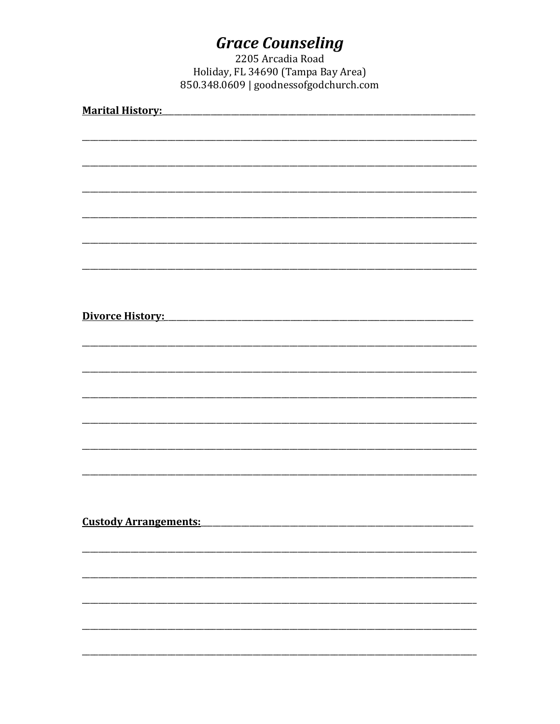# **Grace Counseling**<br>2205 Arcadia Road

Holiday, FL 34690 (Tampa Bay Area) 850.348.0609 | goodnessofgodchurch.com

| <b>Marital History:</b>      |
|------------------------------|
|                              |
|                              |
|                              |
|                              |
|                              |
|                              |
|                              |
|                              |
|                              |
|                              |
|                              |
|                              |
|                              |
|                              |
|                              |
|                              |
|                              |
|                              |
| Divorce History:             |
|                              |
|                              |
|                              |
|                              |
|                              |
|                              |
|                              |
|                              |
|                              |
|                              |
|                              |
|                              |
|                              |
|                              |
|                              |
|                              |
|                              |
| <b>Custody Arrangements:</b> |
|                              |
|                              |
|                              |
|                              |
|                              |
|                              |
|                              |
|                              |
|                              |
|                              |
|                              |
|                              |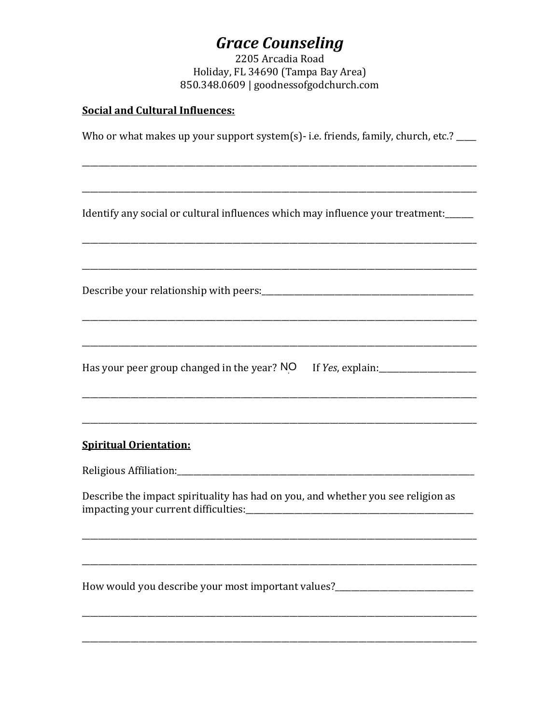2205 Arcadia Road Holiday, FL 34690 (Tampa Bay Area) 850.348.0609 | goodnessofgodchurch.com

### **Social and Cultural Influences:**

Who or what makes up your support system(s)-i.e. friends, family, church, etc.?

Identify any social or cultural influences which may influence your treatment:

Has your peer group changed in the year? NO If Yes, explain:\_\_\_\_\_\_\_\_\_\_\_\_\_\_\_\_\_\_\_\_

#### **Spiritual Orientation:**

Describe the impact spirituality has had on you, and whether you see religion as impacting your current difficulties: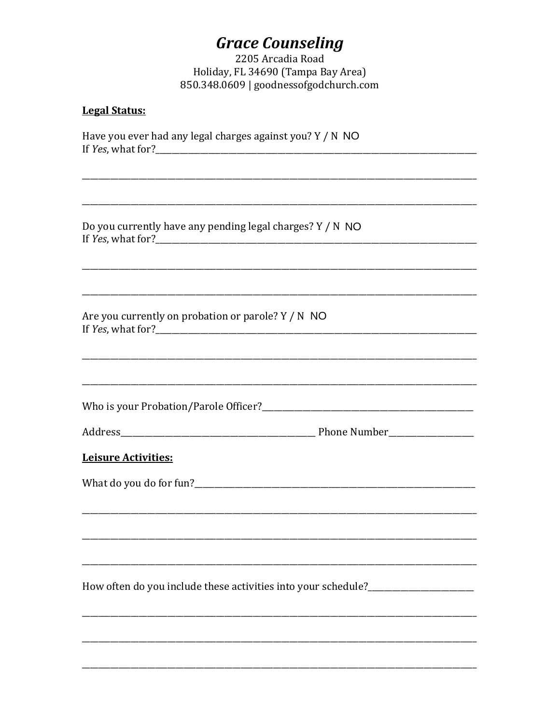2205 Arcadia Road Holiday, FL 34690 (Tampa Bay Area) 850.348.0609 | goodnessofgodchurch.com

#### **Legal Status:**

Have you ever had any legal charges against you? Y / N NO 

Do you currently have any pending legal charges? Y / N NO 

Are you currently on probation or parole? Y / N NO If  $Yes$ , what for?

| Address | <b>Phone Number</b> |
|---------|---------------------|
|         |                     |

#### **Leisure Activities:**

What do you do for fun?